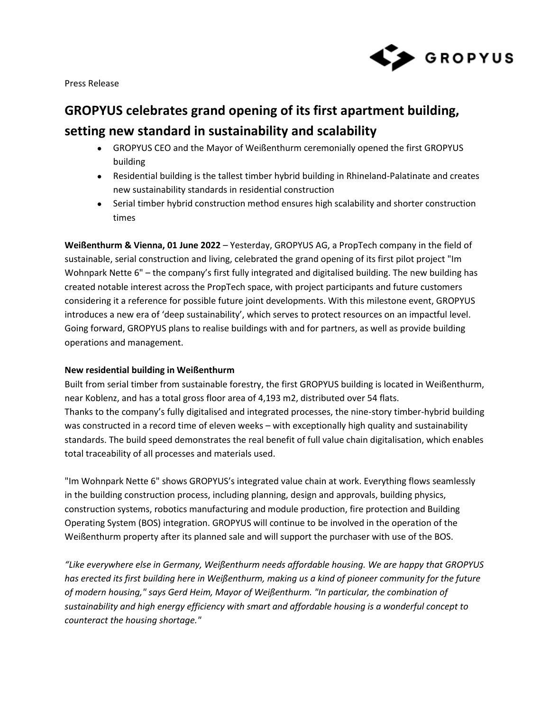

Press Release

# **GROPYUS celebrates grand opening of its first apartment building, setting new standard in sustainability and scalability**

- GROPYUS CEO and the Mayor of Weißenthurm ceremonially opened the first GROPYUS building
- Residential building is the tallest timber hybrid building in Rhineland-Palatinate and creates new sustainability standards in residential construction
- Serial timber hybrid construction method ensures high scalability and shorter construction times

**Weißenthurm & Vienna, 01 June 2022** – Yesterday, GROPYUS AG, a PropTech company in the field of sustainable, serial construction and living, celebrated the grand opening of its first pilot project "Im Wohnpark Nette 6" – the company's first fully integrated and digitalised building. The new building has created notable interest across the PropTech space, with project participants and future customers considering it a reference for possible future joint developments. With this milestone event, GROPYUS introduces a new era of 'deep sustainability', which serves to protect resources on an impactful level. Going forward, GROPYUS plans to realise buildings with and for partners, as well as provide building operations and management.

# **New residential building in Weißenthurm**

Built from serial timber from sustainable forestry, the first GROPYUS building is located in Weißenthurm, near Koblenz, and has a total gross floor area of 4,193 m2, distributed over 54 flats. Thanks to the company's fully digitalised and integrated processes, the nine-story timber-hybrid building was constructed in a record time of eleven weeks – with exceptionally high quality and sustainability standards. The build speed demonstrates the real benefit of full value chain digitalisation, which enables total traceability of all processes and materials used.

"Im Wohnpark Nette 6" shows GROPYUS's integrated value chain at work. Everything flows seamlessly in the building construction process, including planning, design and approvals, building physics, construction systems, robotics manufacturing and module production, fire protection and Building Operating System (BOS) integration. GROPYUS will continue to be involved in the operation of the Weißenthurm property after its planned sale and will support the purchaser with use of the BOS.

*"Like everywhere else in Germany, Weißenthurm needs affordable housing. We are happy that GROPYUS has erected its first building here in Weißenthurm, making us a kind of pioneer community for the future of modern housing," says Gerd Heim, Mayor of Weißenthurm. "In particular, the combination of sustainability and high energy efficiency with smart and affordable housing is a wonderful concept to counteract the housing shortage."*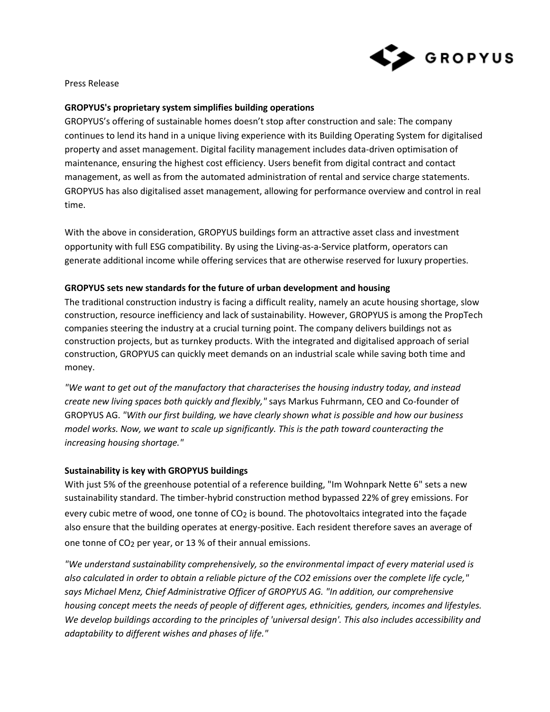

Press Release

# **GROPYUS's proprietary system simplifies building operations**

GROPYUS's offering of sustainable homes doesn't stop after construction and sale: The company continues to lend its hand in a unique living experience with its Building Operating System for digitalised property and asset management. Digital facility management includes data-driven optimisation of maintenance, ensuring the highest cost efficiency. Users benefit from digital contract and contact management, as well as from the automated administration of rental and service charge statements. GROPYUS has also digitalised asset management, allowing for performance overview and control in real time.

With the above in consideration, GROPYUS buildings form an attractive asset class and investment opportunity with full ESG compatibility. By using the Living-as-a-Service platform, operators can generate additional income while offering services that are otherwise reserved for luxury properties.

## **GROPYUS sets new standards for the future of urban development and housing**

The traditional construction industry is facing a difficult reality, namely an acute housing shortage, slow construction, resource inefficiency and lack of sustainability. However, GROPYUS is among the PropTech companies steering the industry at a crucial turning point. The company delivers buildings not as construction projects, but as turnkey products. With the integrated and digitalised approach of serial construction, GROPYUS can quickly meet demands on an industrial scale while saving both time and money.

*"We want to get out of the manufactory that characterises the housing industry today, and instead create new living spaces both quickly and flexibly,"* says Markus Fuhrmann, CEO and Co-founder of GROPYUS AG. *"With our first building, we have clearly shown what is possible and how our business model works. Now, we want to scale up significantly. This is the path toward counteracting the increasing housing shortage."* 

#### **Sustainability is key with GROPYUS buildings**

With just 5% of the greenhouse potential of a reference building, "Im Wohnpark Nette 6" sets a new sustainability standard. The timber-hybrid construction method bypassed 22% of grey emissions. For every cubic metre of wood, one tonne of CO<sub>2</sub> is bound. The photovoltaics integrated into the façade also ensure that the building operates at energy-positive. Each resident therefore saves an average of one tonne of CO2 per year, or 13 % of their annual emissions.

*"We understand sustainability comprehensively, so the environmental impact of every material used is also calculated in order to obtain a reliable picture of the CO2 emissions over the complete life cycle," says Michael Menz, Chief Administrative Officer of GROPYUS AG. "In addition, our comprehensive housing concept meets the needs of people of different ages, ethnicities, genders, incomes and lifestyles. We develop buildings according to the principles of 'universal design'. This also includes accessibility and adaptability to different wishes and phases of life."*